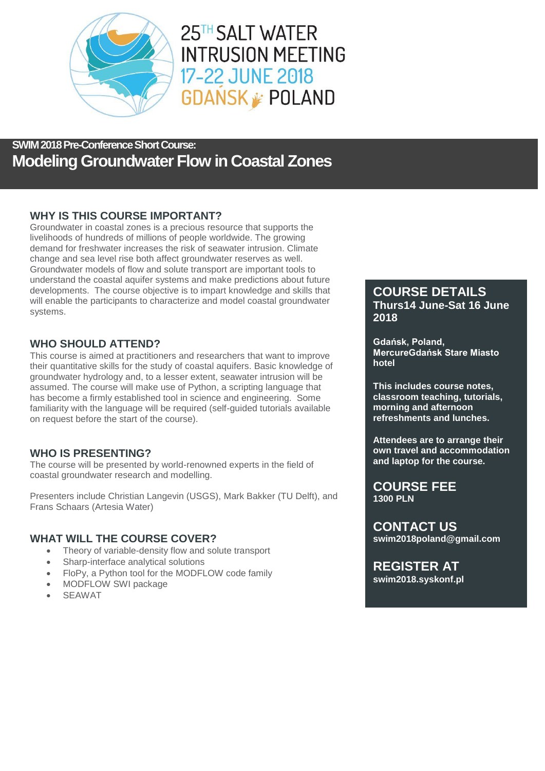

25TH SALT WATER **INTRUSION MEETING** 17-22 JUNE 2018 **GDANSK POLAND** 

## **SWIM 2018 Pre-Conference Short Course: Modeling Groundwater Flow in Coastal Zones**

## **WHY IS THIS COURSE IMPORTANT?**

Groundwater in coastal zones is a precious resource that supports the livelihoods of hundreds of millions of people worldwide. The growing demand for freshwater increases the risk of seawater intrusion. Climate change and sea level rise both affect groundwater reserves as well. Groundwater models of flow and solute transport are important tools to understand the coastal aquifer systems and make predictions about future developments. The course objective is to impart knowledge and skills that will enable the participants to characterize and model coastal groundwater systems.

## **WHO SHOULD ATTEND?**

This course is aimed at practitioners and researchers that want to improve their quantitative skills for the study of coastal aquifers. Basic knowledge of groundwater hydrology and, to a lesser extent, seawater intrusion will be assumed. The course will make use of Python, a scripting language that has become a firmly established tool in science and engineering. Some familiarity with the language will be required (self-guided tutorials available on request before the start of the course).

## **WHO IS PRESENTING?**

The course will be presented by world-renowned experts in the field of coastal groundwater research and modelling.

Presenters include Christian Langevin (USGS), Mark Bakker (TU Delft), and Frans Schaars (Artesia Water)

## **WHAT WILL THE COURSE COVER?**

- Theory of variable-density flow and solute transport
- Sharp-interface analytical solutions
- FloPy, a Python tool for the MODFLOW code family
- MODFLOW SWI package
- SEAWAT

## **COURSE DETAILS Thurs14 June-Sat 16 June 2018**

**Gdańsk, Poland, MercureGdańsk Stare Miasto hotel**

**This includes course notes, classroom teaching, tutorials, morning and afternoon refreshments and lunches.**

**Attendees are to arrange their own travel and accommodation and laptop for the course.**

**COURSE FEE 1300 PLN**

**CONTACT US swim2018poland@gmail.com**

**REGISTER AT swim2018.syskonf.pl**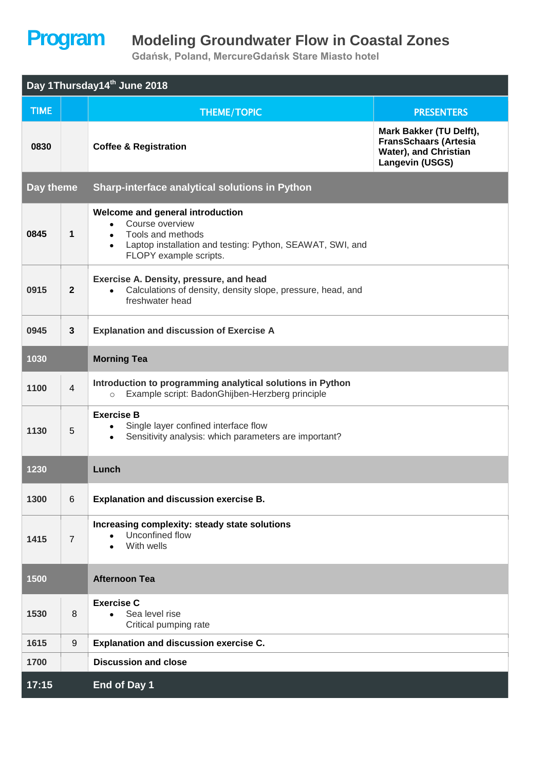## **Program Modeling Groundwater Flow in Coastal Zones**

**Gdańsk, Poland, MercureGdańsk Stare Miasto hotel**

| Day 1Thursday14 <sup>th</sup> June 2018 |                  |                                                                                                                                                                              |                                                                                                            |  |  |  |  |
|-----------------------------------------|------------------|------------------------------------------------------------------------------------------------------------------------------------------------------------------------------|------------------------------------------------------------------------------------------------------------|--|--|--|--|
| <b>TIME</b>                             |                  | <b>THEME/TOPIC</b>                                                                                                                                                           | <b>PRESENTERS</b>                                                                                          |  |  |  |  |
| 0830                                    |                  | <b>Coffee &amp; Registration</b>                                                                                                                                             | Mark Bakker (TU Delft),<br><b>FransSchaars (Artesia</b><br>Water), and Christian<br><b>Langevin (USGS)</b> |  |  |  |  |
| Day theme                               |                  | Sharp-interface analytical solutions in Python                                                                                                                               |                                                                                                            |  |  |  |  |
| 0845                                    | 1                | Welcome and general introduction<br>Course overview<br>$\bullet$<br>Tools and methods<br>Laptop installation and testing: Python, SEAWAT, SWI, and<br>FLOPY example scripts. |                                                                                                            |  |  |  |  |
| 0915                                    | $\mathbf{2}$     | Exercise A. Density, pressure, and head<br>Calculations of density, density slope, pressure, head, and<br>$\bullet$<br>freshwater head                                       |                                                                                                            |  |  |  |  |
| 0945                                    | 3                | <b>Explanation and discussion of Exercise A</b>                                                                                                                              |                                                                                                            |  |  |  |  |
| 1030                                    |                  | <b>Morning Tea</b>                                                                                                                                                           |                                                                                                            |  |  |  |  |
| 1100                                    | $\overline{4}$   | Introduction to programming analytical solutions in Python<br>Example script: BadonGhijben-Herzberg principle<br>$\circ$                                                     |                                                                                                            |  |  |  |  |
| 1130                                    | 5                | <b>Exercise B</b><br>Single layer confined interface flow<br>Sensitivity analysis: which parameters are important?<br>$\bullet$                                              |                                                                                                            |  |  |  |  |
| 1230                                    |                  | Lunch                                                                                                                                                                        |                                                                                                            |  |  |  |  |
| 1300                                    | 6                | <b>Explanation and discussion exercise B.</b>                                                                                                                                |                                                                                                            |  |  |  |  |
| 1415                                    | $\overline{7}$   | Increasing complexity: steady state solutions<br>Unconfined flow<br>With wells                                                                                               |                                                                                                            |  |  |  |  |
| 1500                                    |                  | <b>Afternoon Tea</b>                                                                                                                                                         |                                                                                                            |  |  |  |  |
| 1530                                    | 8                | <b>Exercise C</b><br>Sea level rise<br>Critical pumping rate                                                                                                                 |                                                                                                            |  |  |  |  |
| 1615                                    | $\boldsymbol{9}$ | <b>Explanation and discussion exercise C.</b>                                                                                                                                |                                                                                                            |  |  |  |  |
| 1700                                    |                  | <b>Discussion and close</b>                                                                                                                                                  |                                                                                                            |  |  |  |  |
| 17:15                                   |                  | End of Day 1                                                                                                                                                                 |                                                                                                            |  |  |  |  |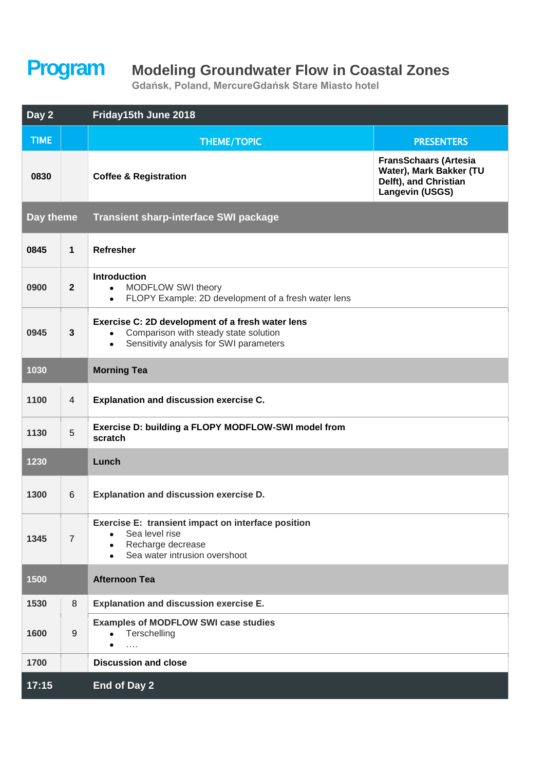## **Program Modeling Groundwater Flow in Coastal Zones**

**Gdańsk, Poland, MercureGdańsk Stare Miasto hotel**

| Day 2       |                  | Friday15th June 2018                                                                                                                                           |                                                                                                            |  |  |
|-------------|------------------|----------------------------------------------------------------------------------------------------------------------------------------------------------------|------------------------------------------------------------------------------------------------------------|--|--|
| <b>TIME</b> |                  | <b>THEME/TOPIC</b>                                                                                                                                             | <b>PRESENTERS</b>                                                                                          |  |  |
| 0830        |                  | <b>Coffee &amp; Registration</b>                                                                                                                               | <b>FransSchaars (Artesia</b><br>Water), Mark Bakker (TU<br>Delft), and Christian<br><b>Langevin (USGS)</b> |  |  |
| Day theme   |                  | <b>Transient sharp-interface SWI package</b>                                                                                                                   |                                                                                                            |  |  |
| 0845        | $\mathbf{1}$     | <b>Refresher</b>                                                                                                                                               |                                                                                                            |  |  |
| 0900        | $\overline{2}$   | <b>Introduction</b><br>MODFLOW SWI theory<br>$\bullet$<br>FLOPY Example: 2D development of a fresh water lens<br>$\bullet$                                     |                                                                                                            |  |  |
| 0945        | $\mathbf{3}$     | Exercise C: 2D development of a fresh water lens<br>Comparison with steady state solution<br>$\bullet$<br>Sensitivity analysis for SWI parameters<br>$\bullet$ |                                                                                                            |  |  |
| 1030        |                  | <b>Morning Tea</b>                                                                                                                                             |                                                                                                            |  |  |
| 1100        | 4                | Explanation and discussion exercise C.                                                                                                                         |                                                                                                            |  |  |
| 1130        | 5                | Exercise D: building a FLOPY MODFLOW-SWI model from<br>scratch                                                                                                 |                                                                                                            |  |  |
| 1230        |                  | Lunch                                                                                                                                                          |                                                                                                            |  |  |
| 1300        | 6                | Explanation and discussion exercise D.                                                                                                                         |                                                                                                            |  |  |
| 1345        | $\overline{7}$   | Exercise E: transient impact on interface position<br>Sea level rise<br>Recharge decrease<br>$\bullet$<br>Sea water intrusion overshoot<br>$\bullet$           |                                                                                                            |  |  |
| 1500        |                  | <b>Afternoon Tea</b>                                                                                                                                           |                                                                                                            |  |  |
| 1530        | 8                | <b>Explanation and discussion exercise E.</b>                                                                                                                  |                                                                                                            |  |  |
| 1600        | $\boldsymbol{9}$ | <b>Examples of MODFLOW SWI case studies</b><br>Terschelling<br>$\bullet$<br>$\bullet$<br>$\cdots$                                                              |                                                                                                            |  |  |
| 1700        |                  | <b>Discussion and close</b>                                                                                                                                    |                                                                                                            |  |  |
| 17:15       |                  | End of Day 2                                                                                                                                                   |                                                                                                            |  |  |